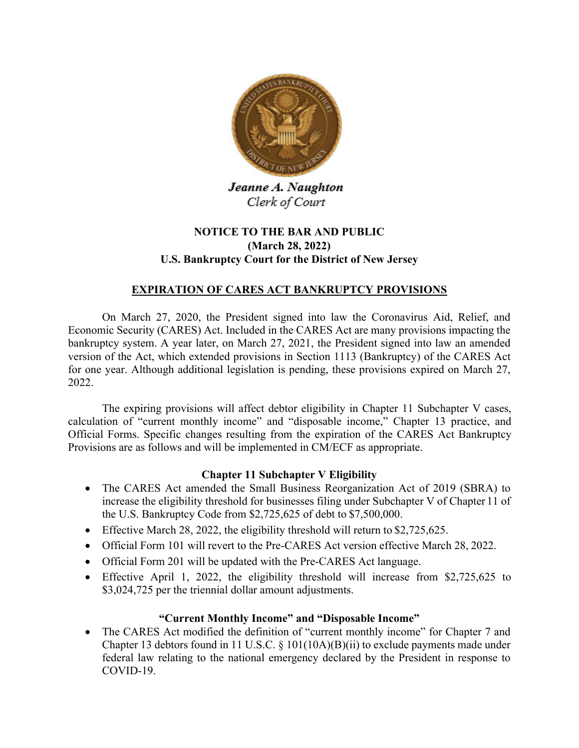

Jeanne A. Naughton Clerk of Court

# **NOTICE TO THE BAR AND PUBLIC (March 28, 2022) U.S. Bankruptcy Court for the District of New Jersey**

## **EXPIRATION OF CARES ACT BANKRUPTCY PROVISIONS**

On March 27, 2020, the President signed into law the Coronavirus Aid, Relief, and Economic Security (CARES) Act. Included in the CARES Act are many provisions impacting the bankruptcy system. A year later, on March 27, 2021, the President signed into law an amended version of the Act, which extended provisions in Section 1113 (Bankruptcy) of the CARES Act for one year. Although additional legislation is pending, these provisions expired on March 27, 2022.

The expiring provisions will affect debtor eligibility in Chapter 11 Subchapter V cases, calculation of "current monthly income" and "disposable income," Chapter 13 practice, and Official Forms. Specific changes resulting from the expiration of the CARES Act Bankruptcy Provisions are as follows and will be implemented in CM/ECF as appropriate.

## **Chapter 11 Subchapter V Eligibility**

- The CARES Act amended the Small Business Reorganization Act of 2019 (SBRA) to increase the eligibility threshold for businesses filing under Subchapter V of Chapter 11 of the U.S. Bankruptcy Code from \$2,725,625 of debt to \$7,500,000.
- Effective March 28, 2022, the eligibility threshold will return to \$2,725,625.
- Official Form 101 will revert to the Pre-CARES Act version effective March 28, 2022.
- Official Form 201 will be updated with the Pre-CARES Act language.
- Effective April 1, 2022, the eligibility threshold will increase from \$2,725,625 to \$3,024,725 per the triennial dollar amount adjustments.

## **"Current Monthly Income" and "Disposable Income"**

• The CARES Act modified the definition of "current monthly income" for Chapter 7 and Chapter 13 debtors found in 11 U.S.C. § 101(10A)(B)(ii) to exclude payments made under federal law relating to the national emergency declared by the President in response to COVID-19.